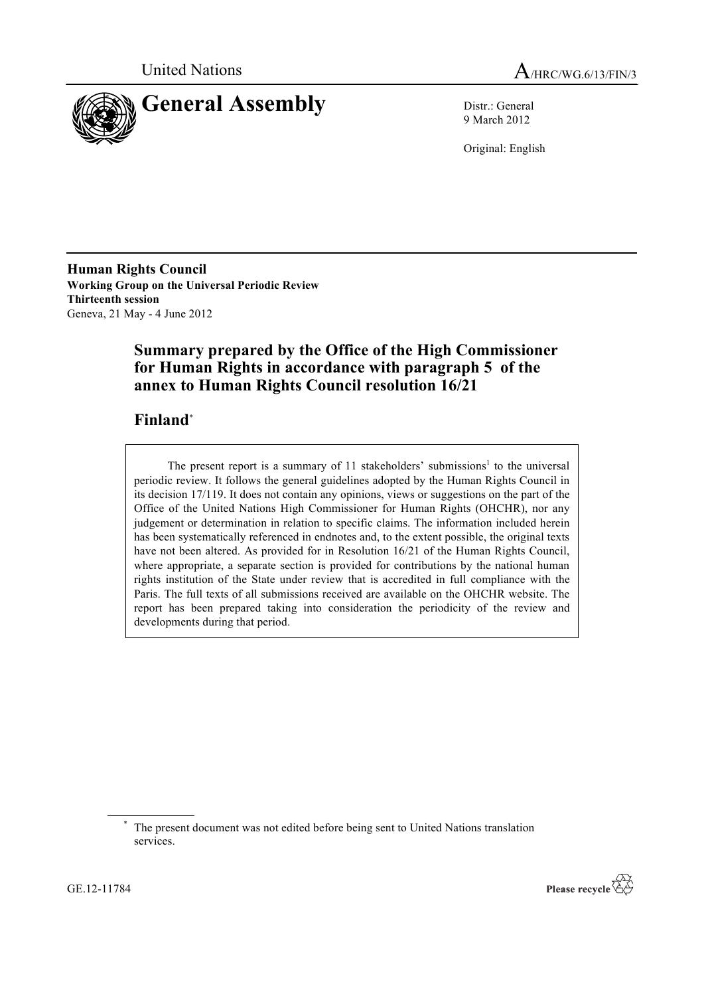



9 March 2012

Original: English

**Human Rights Council Working Group on the Universal Periodic Review Thirteenth session** Geneva, 21 May - 4 June 2012

# **Summary prepared by the Office of the High Commissioner for Human Rights in accordance with paragraph 5 of the annex to Human Rights Council resolution 16/21**

# **Finland**\*

The present report is a summary of 11 stakeholders' submissions<sup>1</sup> to the universal periodic review. It follows the general guidelines adopted by the Human Rights Council in its decision 17/119. It does not contain any opinions, views or suggestions on the part of the Office of the United Nations High Commissioner for Human Rights (OHCHR), nor any judgement or determination in relation to specific claims. The information included herein has been systematically referenced in endnotes and, to the extent possible, the original texts have not been altered. As provided for in Resolution 16/21 of the Human Rights Council, where appropriate, a separate section is provided for contributions by the national human rights institution of the State under review that is accredited in full compliance with the Paris. The full texts of all submissions received are available on the OHCHR website. The report has been prepared taking into consideration the periodicity of the review and developments during that period.



The present document was not edited before being sent to United Nations translation services.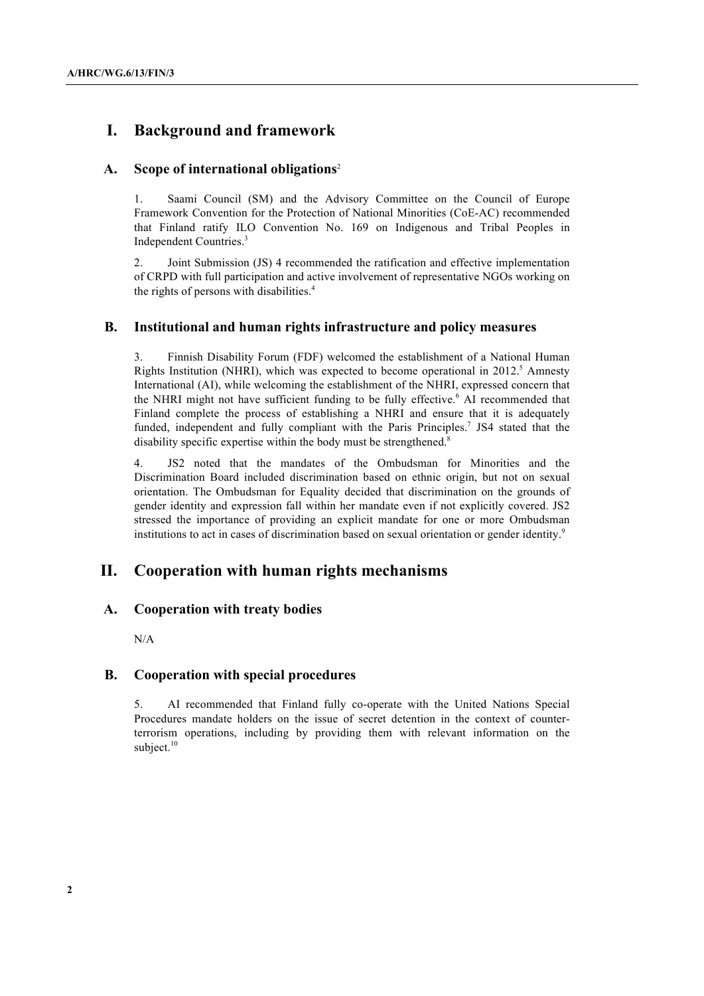# **I. Background and framework**

## **A. Scope of international obligations**<sup>2</sup>

1. Saami Council (SM) and the Advisory Committee on the Council of Europe Framework Convention for the Protection of National Minorities (CoE-AC) recommended that Finland ratify ILO Convention No. 169 on Indigenous and Tribal Peoples in Independent Countries.3

2. Joint Submission (JS) 4 recommended the ratification and effective implementation of CRPD with full participation and active involvement of representative NGOs working on the rights of persons with disabilities. 4

## **B. Institutional and human rights infrastructure and policy measures**

3. Finnish Disability Forum (FDF) welcomed the establishment of a National Human Rights Institution (NHRI), which was expected to become operational in  $2012$ <sup>5</sup> Amnesty International (AI), while welcoming the establishment of the NHRI, expressed concern that the NHRI might not have sufficient funding to be fully effective.<sup>6</sup> AI recommended that Finland complete the process of establishing a NHRI and ensure that it is adequately funded, independent and fully compliant with the Paris Principles.<sup>7</sup> JS4 stated that the disability specific expertise within the body must be strengthened.<sup>8</sup>

4. JS2 noted that the mandates of the Ombudsman for Minorities and the Discrimination Board included discrimination based on ethnic origin, but not on sexual orientation. The Ombudsman for Equality decided that discrimination on the grounds of gender identity and expression fall within her mandate even if not explicitly covered. JS2 stressed the importance of providing an explicit mandate for one or more Ombudsman institutions to act in cases of discrimination based on sexual orientation or gender identity.<sup>9</sup>

# **II. Cooperation with human rights mechanisms**

#### **A. Cooperation with treaty bodies**

N/A

#### **B. Cooperation with special procedures**

5. AI recommended that Finland fully co-operate with the United Nations Special Procedures mandate holders on the issue of secret detention in the context of counterterrorism operations, including by providing them with relevant information on the subject.<sup>10</sup>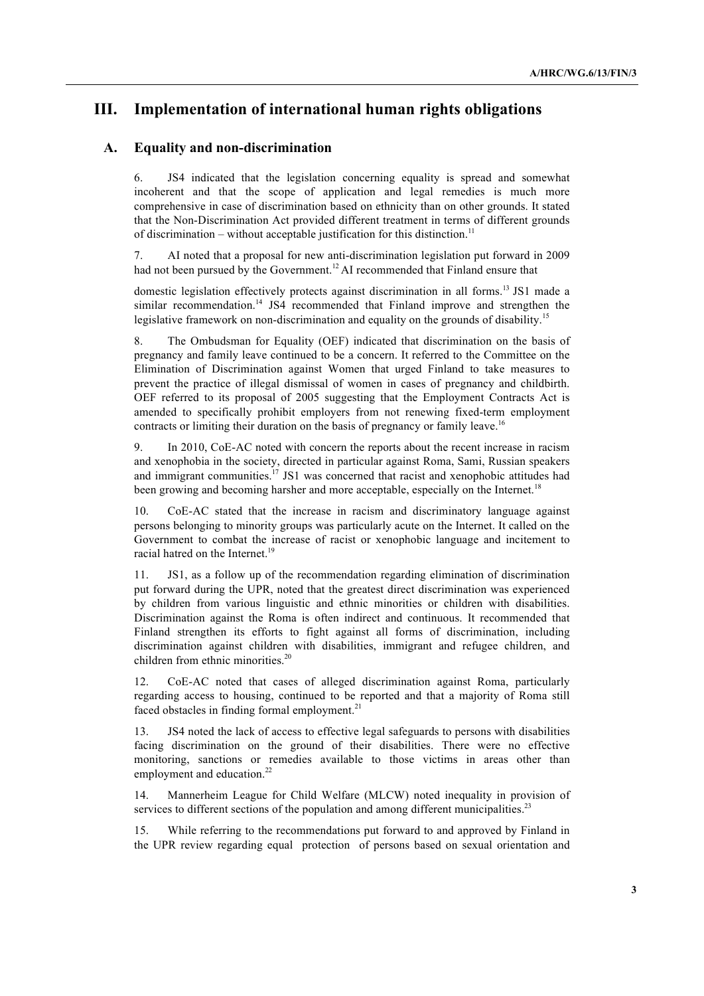# **III. Implementation of international human rights obligations**

# **A. Equality and non-discrimination**

6. JS4 indicated that the legislation concerning equality is spread and somewhat incoherent and that the scope of application and legal remedies is much more comprehensive in case of discrimination based on ethnicity than on other grounds. It stated that the Non-Discrimination Act provided different treatment in terms of different grounds of discrimination – without acceptable justification for this distinction.<sup>11</sup>

7. AI noted that a proposal for new anti-discrimination legislation put forward in 2009 had not been pursued by the Government.<sup>12</sup> AI recommended that Finland ensure that

domestic legislation effectively protects against discrimination in all forms.<sup>13</sup> JS1 made a similar recommendation.<sup>14</sup> JS4 recommended that Finland improve and strengthen the legislative framework on non-discrimination and equality on the grounds of disability.<sup>15</sup>

8. The Ombudsman for Equality (OEF) indicated that discrimination on the basis of pregnancy and family leave continued to be a concern. It referred to the Committee on the Elimination of Discrimination against Women that urged Finland to take measures to prevent the practice of illegal dismissal of women in cases of pregnancy and childbirth. OEF referred to its proposal of 2005 suggesting that the Employment Contracts Act is amended to specifically prohibit employers from not renewing fixed-term employment contracts or limiting their duration on the basis of pregnancy or family leave.<sup>16</sup>

9. In 2010, CoE-AC noted with concern the reports about the recent increase in racism and xenophobia in the society, directed in particular against Roma, Sami, Russian speakers and immigrant communities.<sup>17</sup> JS1 was concerned that racist and xenophobic attitudes had been growing and becoming harsher and more acceptable, especially on the Internet.<sup>18</sup>

10. CoE-AC stated that the increase in racism and discriminatory language against persons belonging to minority groups was particularly acute on the Internet. It called on the Government to combat the increase of racist or xenophobic language and incitement to racial hatred on the Internet.<sup>19</sup>

11. JS1, as a follow up of the recommendation regarding elimination of discrimination put forward during the UPR, noted that the greatest direct discrimination was experienced by children from various linguistic and ethnic minorities or children with disabilities. Discrimination against the Roma is often indirect and continuous. It recommended that Finland strengthen its efforts to fight against all forms of discrimination, including discrimination against children with disabilities, immigrant and refugee children, and children from ethnic minorities.<sup>20</sup>

12. CoE-AC noted that cases of alleged discrimination against Roma, particularly regarding access to housing, continued to be reported and that a majority of Roma still faced obstacles in finding formal employment.<sup>21</sup>

13. JS4 noted the lack of access to effective legal safeguards to persons with disabilities facing discrimination on the ground of their disabilities. There were no effective monitoring, sanctions or remedies available to those victims in areas other than employment and education.<sup>22</sup>

14. Mannerheim League for Child Welfare (MLCW) noted inequality in provision of services to different sections of the population and among different municipalities.<sup>23</sup>

15. While referring to the recommendations put forward to and approved by Finland in the UPR review regarding equal protection of persons based on sexual orientation and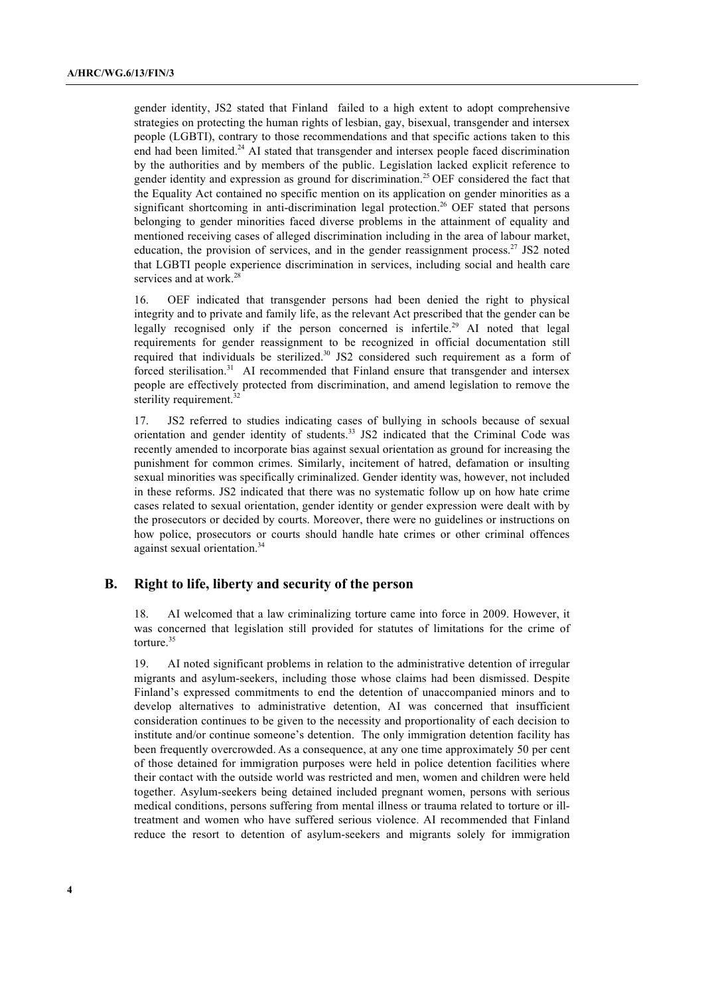gender identity, JS2 stated that Finland failed to a high extent to adopt comprehensive strategies on protecting the human rights of lesbian, gay, bisexual, transgender and intersex people (LGBTI), contrary to those recommendations and that specific actions taken to this end had been limited.<sup>24</sup> AI stated that transgender and intersex people faced discrimination by the authorities and by members of the public. Legislation lacked explicit reference to gender identity and expression as ground for discrimination.<sup>25</sup> OEF considered the fact that the Equality Act contained no specific mention on its application on gender minorities as a significant shortcoming in anti-discrimination legal protection. <sup>26</sup> OEF stated that persons belonging to gender minorities faced diverse problems in the attainment of equality and mentioned receiving cases of alleged discrimination including in the area of labour market, education, the provision of services, and in the gender reassignment process.<sup>27</sup> JS2 noted that LGBTI people experience discrimination in services, including social and health care services and at work.<sup>28</sup>

16. OEF indicated that transgender persons had been denied the right to physical integrity and to private and family life, as the relevant Act prescribed that the gender can be legally recognised only if the person concerned is infertile.<sup>29</sup> AI noted that legal requirements for gender reassignment to be recognized in official documentation still required that individuals be sterilized.<sup>30</sup> JS2 considered such requirement as a form of forced sterilisation.<sup>31</sup> AI recommended that Finland ensure that transgender and intersex people are effectively protected from discrimination, and amend legislation to remove the sterility requirement. $3$ 

17. JS2 referred to studies indicating cases of bullying in schools because of sexual orientation and gender identity of students.<sup>33</sup> JS2 indicated that the Criminal Code was recently amended to incorporate bias against sexual orientation as ground for increasing the punishment for common crimes. Similarly, incitement of hatred, defamation or insulting sexual minorities was specifically criminalized. Gender identity was, however, not included in these reforms. JS2 indicated that there was no systematic follow up on how hate crime cases related to sexual orientation, gender identity or gender expression were dealt with by the prosecutors or decided by courts. Moreover, there were no guidelines or instructions on how police, prosecutors or courts should handle hate crimes or other criminal offences against sexual orientation.34

#### **B. Right to life, liberty and security of the person**

18. AI welcomed that a law criminalizing torture came into force in 2009. However, it was concerned that legislation still provided for statutes of limitations for the crime of torture. 35

19. AI noted significant problems in relation to the administrative detention of irregular migrants and asylum-seekers, including those whose claims had been dismissed. Despite Finland's expressed commitments to end the detention of unaccompanied minors and to develop alternatives to administrative detention, AI was concerned that insufficient consideration continues to be given to the necessity and proportionality of each decision to institute and/or continue someone's detention. The only immigration detention facility has been frequently overcrowded. As a consequence, at any one time approximately 50 per cent of those detained for immigration purposes were held in police detention facilities where their contact with the outside world was restricted and men, women and children were held together. Asylum-seekers being detained included pregnant women, persons with serious medical conditions, persons suffering from mental illness or trauma related to torture or illtreatment and women who have suffered serious violence. AI recommended that Finland reduce the resort to detention of asylum-seekers and migrants solely for immigration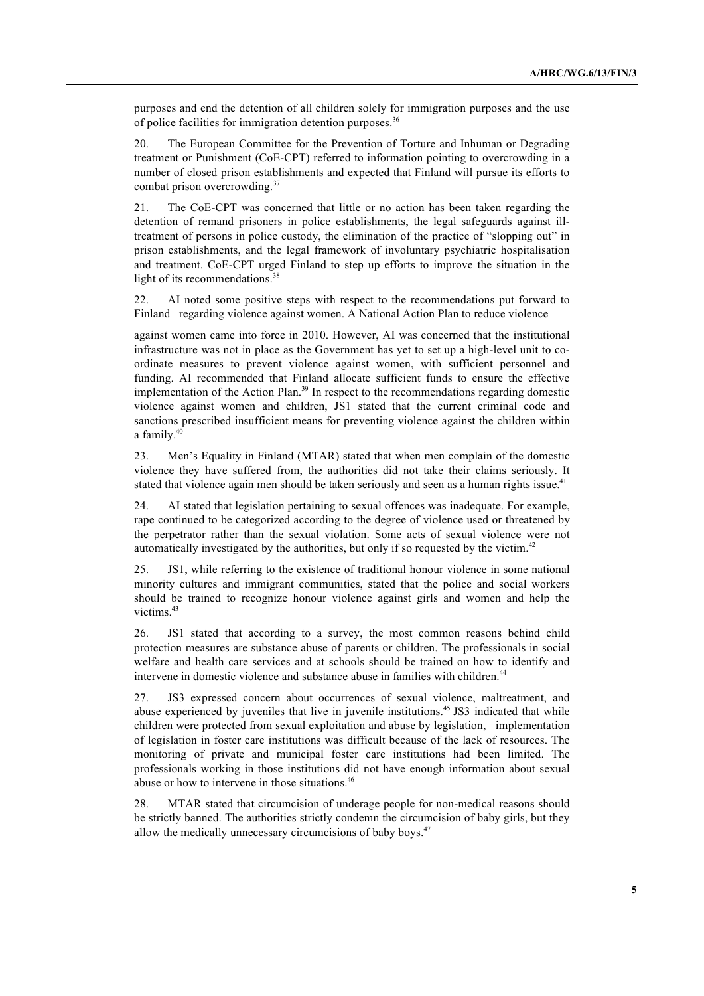purposes and end the detention of all children solely for immigration purposes and the use of police facilities for immigration detention purposes.<sup>36</sup>

20. The European Committee for the Prevention of Torture and Inhuman or Degrading treatment or Punishment (CoE-CPT) referred to information pointing to overcrowding in a number of closed prison establishments and expected that Finland will pursue its efforts to combat prison overcrowding.<sup>37</sup>

21. The CoE-CPT was concerned that little or no action has been taken regarding the detention of remand prisoners in police establishments, the legal safeguards against illtreatment of persons in police custody, the elimination of the practice of "slopping out" in prison establishments, and the legal framework of involuntary psychiatric hospitalisation and treatment. CoE-CPT urged Finland to step up efforts to improve the situation in the light of its recommendations.<sup>38</sup>

22. AI noted some positive steps with respect to the recommendations put forward to Finland regarding violence against women. A National Action Plan to reduce violence

against women came into force in 2010. However, AI was concerned that the institutional infrastructure was not in place as the Government has yet to set up a high-level unit to coordinate measures to prevent violence against women, with sufficient personnel and funding. AI recommended that Finland allocate sufficient funds to ensure the effective implementation of the Action Plan.<sup>39</sup> In respect to the recommendations regarding domestic violence against women and children, JS1 stated that the current criminal code and sanctions prescribed insufficient means for preventing violence against the children within a family.40

23. Men's Equality in Finland (MTAR) stated that when men complain of the domestic violence they have suffered from, the authorities did not take their claims seriously. It stated that violence again men should be taken seriously and seen as a human rights issue.<sup>41</sup>

24. AI stated that legislation pertaining to sexual offences was inadequate. For example, rape continued to be categorized according to the degree of violence used or threatened by the perpetrator rather than the sexual violation. Some acts of sexual violence were not automatically investigated by the authorities, but only if so requested by the victim.<sup>42</sup>

25. JS1, while referring to the existence of traditional honour violence in some national minority cultures and immigrant communities, stated that the police and social workers should be trained to recognize honour violence against girls and women and help the victims. 43

26. JS1 stated that according to a survey, the most common reasons behind child protection measures are substance abuse of parents or children. The professionals in social welfare and health care services and at schools should be trained on how to identify and intervene in domestic violence and substance abuse in families with children.<sup>44</sup>

27. JS3 expressed concern about occurrences of sexual violence, maltreatment, and abuse experienced by juveniles that live in juvenile institutions.<sup>45</sup> JS3 indicated that while children were protected from sexual exploitation and abuse by legislation, implementation of legislation in foster care institutions was difficult because of the lack of resources. The monitoring of private and municipal foster care institutions had been limited. The professionals working in those institutions did not have enough information about sexual abuse or how to intervene in those situations.<sup>46</sup>

28. MTAR stated that circumcision of underage people for non-medical reasons should be strictly banned. The authorities strictly condemn the circumcision of baby girls, but they allow the medically unnecessary circumcisions of baby boys.<sup>47</sup>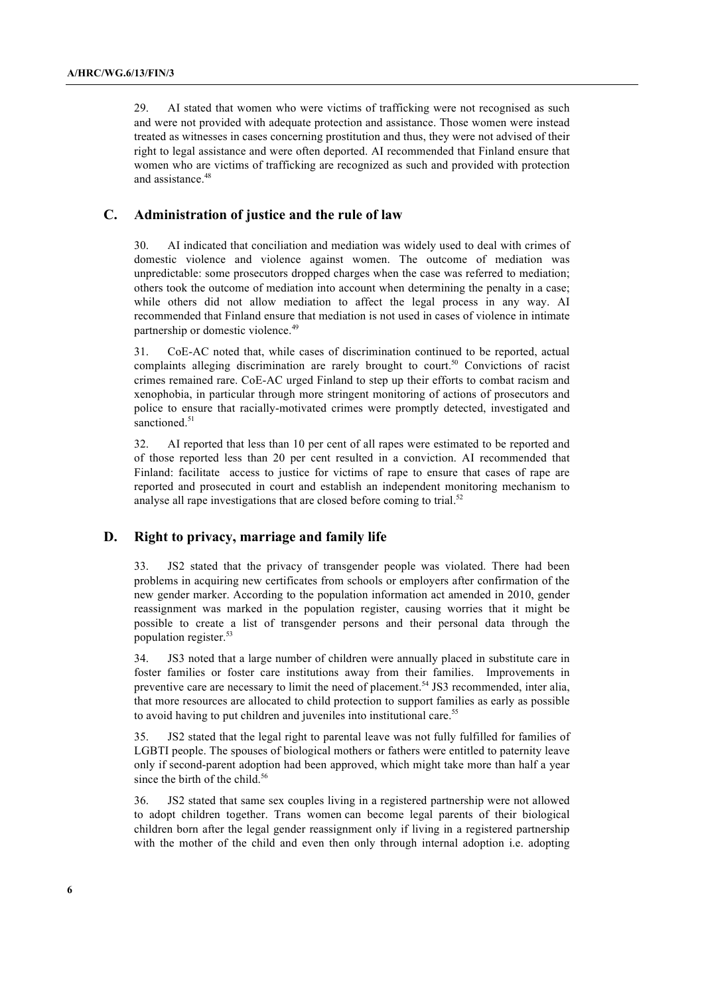29. AI stated that women who were victims of trafficking were not recognised as such and were not provided with adequate protection and assistance. Those women were instead treated as witnesses in cases concerning prostitution and thus, they were not advised of their right to legal assistance and were often deported. AI recommended that Finland ensure that women who are victims of trafficking are recognized as such and provided with protection and assistance. 48

# **C. Administration of justice and the rule of law**

30. AI indicated that conciliation and mediation was widely used to deal with crimes of domestic violence and violence against women. The outcome of mediation was unpredictable: some prosecutors dropped charges when the case was referred to mediation; others took the outcome of mediation into account when determining the penalty in a case; while others did not allow mediation to affect the legal process in any way. AI recommended that Finland ensure that mediation is not used in cases of violence in intimate partnership or domestic violence.<sup>49</sup>

31. CoE-AC noted that, while cases of discrimination continued to be reported, actual complaints alleging discrimination are rarely brought to court.<sup>50</sup> Convictions of racist crimes remained rare. CoE-AC urged Finland to step up their efforts to combat racism and xenophobia, in particular through more stringent monitoring of actions of prosecutors and police to ensure that racially-motivated crimes were promptly detected, investigated and sanctioned.<sup>51</sup>

32. AI reported that less than 10 per cent of all rapes were estimated to be reported and of those reported less than 20 per cent resulted in a conviction. AI recommended that Finland: facilitate access to justice for victims of rape to ensure that cases of rape are reported and prosecuted in court and establish an independent monitoring mechanism to analyse all rape investigations that are closed before coming to trial.<sup>52</sup>

# **D. Right to privacy, marriage and family life**

33. JS2 stated that the privacy of transgender people was violated. There had been problems in acquiring new certificates from schools or employers after confirmation of the new gender marker. According to the population information act amended in 2010, gender reassignment was marked in the population register, causing worries that it might be possible to create a list of transgender persons and their personal data through the population register. 53

34. JS3 noted that a large number of children were annually placed in substitute care in foster families or foster care institutions away from their families. Improvements in preventive care are necessary to limit the need of placement.54 JS3 recommended, inter alia, that more resources are allocated to child protection to support families as early as possible to avoid having to put children and juveniles into institutional care.<sup>55</sup>

35. JS2 stated that the legal right to parental leave was not fully fulfilled for families of LGBTI people. The spouses of biological mothers or fathers were entitled to paternity leave only if second-parent adoption had been approved, which might take more than half a year since the birth of the child. 56

36. JS2 stated that same sex couples living in a registered partnership were not allowed to adopt children together. Trans women can become legal parents of their biological children born after the legal gender reassignment only if living in a registered partnership with the mother of the child and even then only through internal adoption i.e. adopting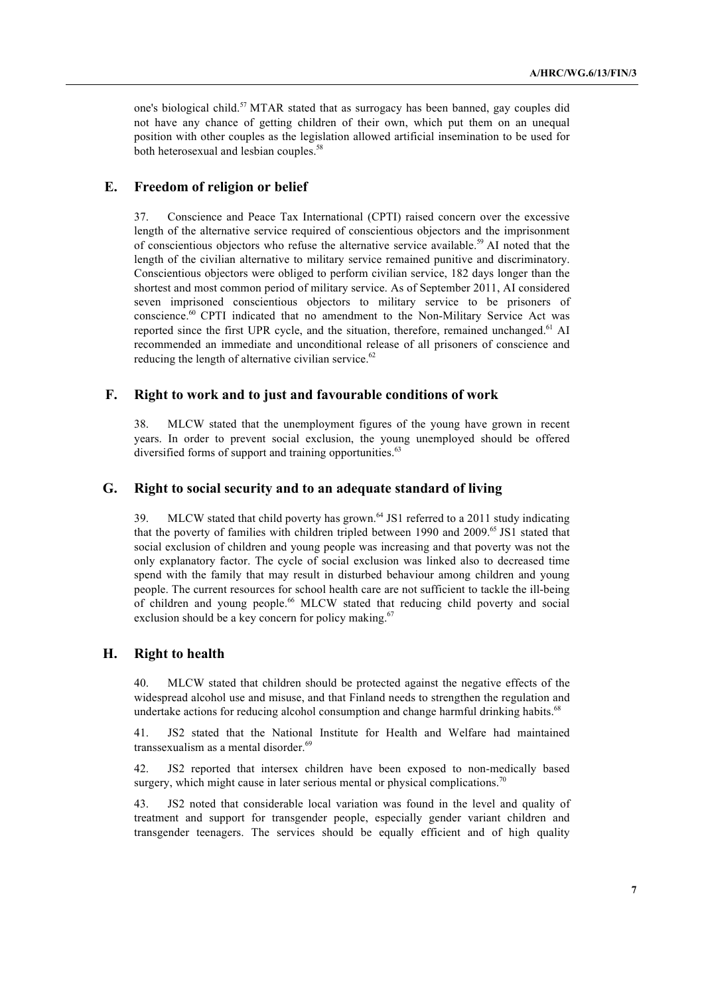one's biological child.<sup>57</sup> MTAR stated that as surrogacy has been banned, gay couples did not have any chance of getting children of their own, which put them on an unequal position with other couples as the legislation allowed artificial insemination to be used for both heterosexual and lesbian couples. 58

# **E. Freedom of religion or belief**

37. Conscience and Peace Tax International (CPTI) raised concern over the excessive length of the alternative service required of conscientious objectors and the imprisonment of conscientious objectors who refuse the alternative service available.<sup>59</sup> AI noted that the length of the civilian alternative to military service remained punitive and discriminatory. Conscientious objectors were obliged to perform civilian service, 182 days longer than the shortest and most common period of military service. As of September 2011, AI considered seven imprisoned conscientious objectors to military service to be prisoners of conscience. <sup>60</sup> CPTI indicated that no amendment to the Non-Military Service Act was reported since the first UPR cycle, and the situation, therefore, remained unchanged.<sup>61</sup> AI recommended an immediate and unconditional release of all prisoners of conscience and reducing the length of alternative civilian service.<sup>62</sup>

## **F. Right to work and to just and favourable conditions of work**

38. MLCW stated that the unemployment figures of the young have grown in recent years. In order to prevent social exclusion, the young unemployed should be offered diversified forms of support and training opportunities.<sup>63</sup>

#### **G. Right to social security and to an adequate standard of living**

39. MLCW stated that child poverty has grown.<sup>64</sup> JS1 referred to a 2011 study indicating that the poverty of families with children tripled between 1990 and 2009.65 JS1 stated that social exclusion of children and young people was increasing and that poverty was not the only explanatory factor. The cycle of social exclusion was linked also to decreased time spend with the family that may result in disturbed behaviour among children and young people. The current resources for school health care are not sufficient to tackle the ill-being of children and young people. <sup>66</sup> MLCW stated that reducing child poverty and social exclusion should be a key concern for policy making.<sup>67</sup>

#### **H. Right to health**

40. MLCW stated that children should be protected against the negative effects of the widespread alcohol use and misuse, and that Finland needs to strengthen the regulation and undertake actions for reducing alcohol consumption and change harmful drinking habits.<sup>68</sup>

41. JS2 stated that the National Institute for Health and Welfare had maintained transsexualism as a mental disorder.<sup>69</sup>

42. JS2 reported that intersex children have been exposed to non-medically based surgery, which might cause in later serious mental or physical complications.<sup>70</sup>

43. JS2 noted that considerable local variation was found in the level and quality of treatment and support for transgender people, especially gender variant children and transgender teenagers. The services should be equally efficient and of high quality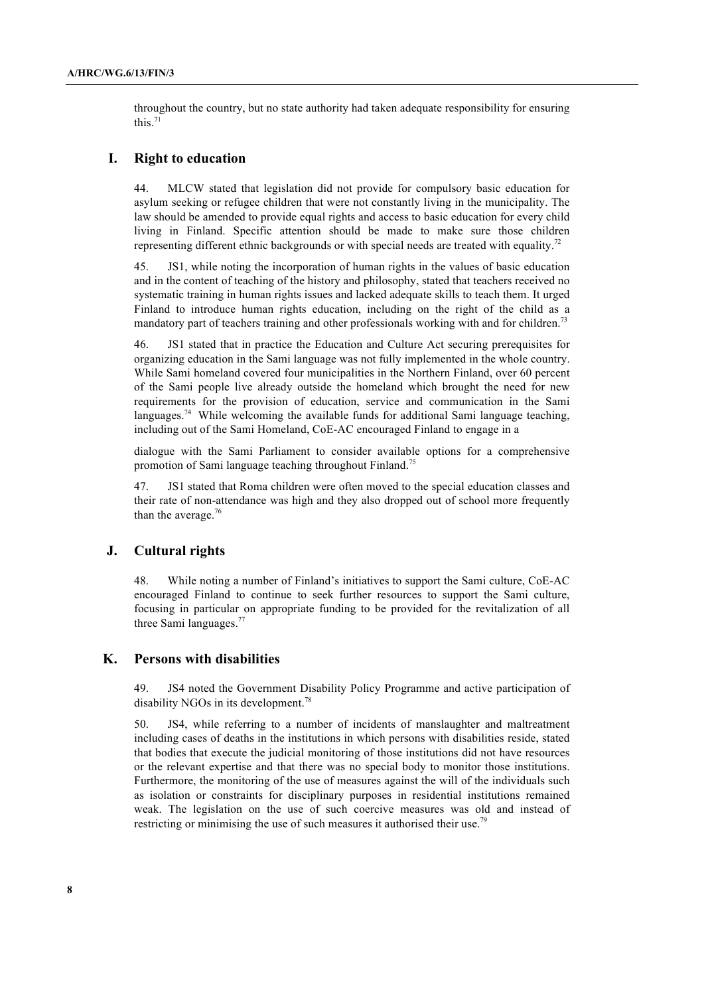throughout the country, but no state authority had taken adequate responsibility for ensuring this. $71$ 

#### **I. Right to education**

44. MLCW stated that legislation did not provide for compulsory basic education for asylum seeking or refugee children that were not constantly living in the municipality. The law should be amended to provide equal rights and access to basic education for every child living in Finland. Specific attention should be made to make sure those children representing different ethnic backgrounds or with special needs are treated with equality.<sup>72</sup>

45. JS1, while noting the incorporation of human rights in the values of basic education and in the content of teaching of the history and philosophy, stated that teachers received no systematic training in human rights issues and lacked adequate skills to teach them. It urged Finland to introduce human rights education, including on the right of the child as a mandatory part of teachers training and other professionals working with and for children.<sup>73</sup>

46. JS1 stated that in practice the Education and Culture Act securing prerequisites for organizing education in the Sami language was not fully implemented in the whole country. While Sami homeland covered four municipalities in the Northern Finland, over 60 percent of the Sami people live already outside the homeland which brought the need for new requirements for the provision of education, service and communication in the Sami languages.<sup>74</sup> While welcoming the available funds for additional Sami language teaching, including out of the Sami Homeland, CoE-AC encouraged Finland to engage in a

dialogue with the Sami Parliament to consider available options for a comprehensive promotion of Sami language teaching throughout Finland.<sup>75</sup>

47. JS1 stated that Roma children were often moved to the special education classes and their rate of non-attendance was high and they also dropped out of school more frequently than the average.<sup>76</sup>

#### **J. Cultural rights**

48. While noting a number of Finland's initiatives to support the Sami culture, CoE-AC encouraged Finland to continue to seek further resources to support the Sami culture, focusing in particular on appropriate funding to be provided for the revitalization of all three Sami languages.<sup>77</sup>

#### **K. Persons with disabilities**

49. JS4 noted the Government Disability Policy Programme and active participation of disability NGOs in its development.<sup>78</sup>

50. JS4, while referring to a number of incidents of manslaughter and maltreatment including cases of deaths in the institutions in which persons with disabilities reside, stated that bodies that execute the judicial monitoring of those institutions did not have resources or the relevant expertise and that there was no special body to monitor those institutions. Furthermore, the monitoring of the use of measures against the will of the individuals such as isolation or constraints for disciplinary purposes in residential institutions remained weak. The legislation on the use of such coercive measures was old and instead of restricting or minimising the use of such measures it authorised their use.<sup>79</sup>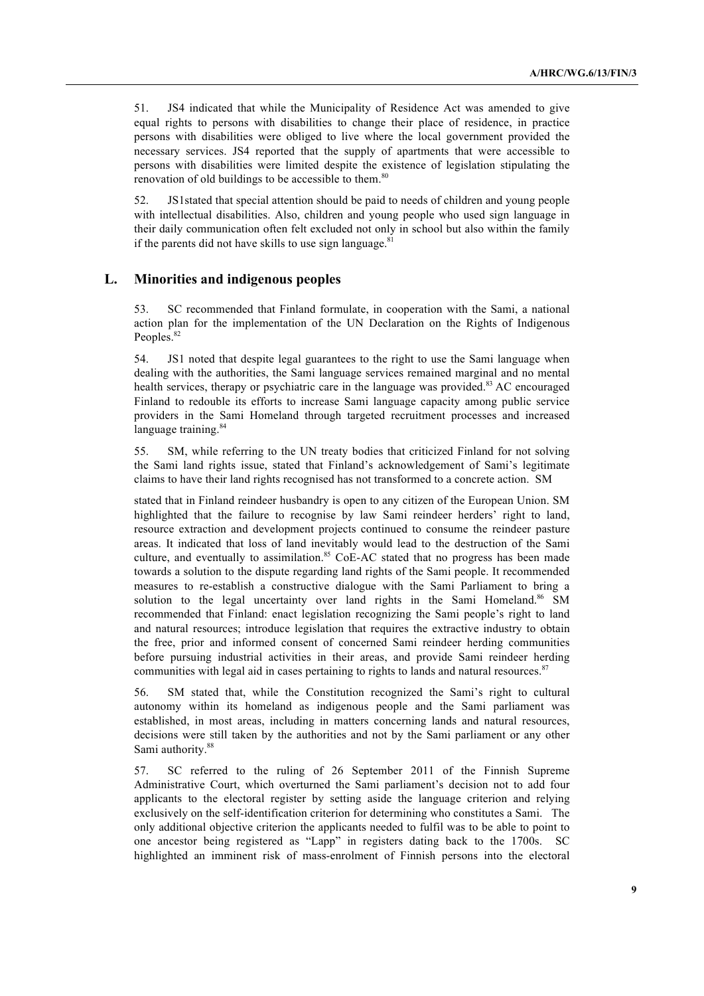51. JS4 indicated that while the Municipality of Residence Act was amended to give equal rights to persons with disabilities to change their place of residence, in practice persons with disabilities were obliged to live where the local government provided the necessary services. JS4 reported that the supply of apartments that were accessible to persons with disabilities were limited despite the existence of legislation stipulating the renovation of old buildings to be accessible to them.<sup>80</sup>

52. JS1stated that special attention should be paid to needs of children and young people with intellectual disabilities. Also, children and young people who used sign language in their daily communication often felt excluded not only in school but also within the family if the parents did not have skills to use sign language.<sup>81</sup>

# **L. Minorities and indigenous peoples**

53. SC recommended that Finland formulate, in cooperation with the Sami, a national action plan for the implementation of the UN Declaration on the Rights of Indigenous Peoples.<sup>82</sup>

54. JS1 noted that despite legal guarantees to the right to use the Sami language when dealing with the authorities, the Sami language services remained marginal and no mental health services, therapy or psychiatric care in the language was provided.<sup>83</sup> AC encouraged Finland to redouble its efforts to increase Sami language capacity among public service providers in the Sami Homeland through targeted recruitment processes and increased language training.<sup>84</sup>

55. SM, while referring to the UN treaty bodies that criticized Finland for not solving the Sami land rights issue, stated that Finland's acknowledgement of Sami's legitimate claims to have their land rights recognised has not transformed to a concrete action. SM

stated that in Finland reindeer husbandry is open to any citizen of the European Union. SM highlighted that the failure to recognise by law Sami reindeer herders' right to land, resource extraction and development projects continued to consume the reindeer pasture areas. It indicated that loss of land inevitably would lead to the destruction of the Sami culture, and eventually to assimilation.<sup>85</sup> CoE-AC stated that no progress has been made towards a solution to the dispute regarding land rights of the Sami people. It recommended measures to re-establish a constructive dialogue with the Sami Parliament to bring a solution to the legal uncertainty over land rights in the Sami Homeland.<sup>86</sup> SM recommended that Finland: enact legislation recognizing the Sami people's right to land and natural resources; introduce legislation that requires the extractive industry to obtain the free, prior and informed consent of concerned Sami reindeer herding communities before pursuing industrial activities in their areas, and provide Sami reindeer herding communities with legal aid in cases pertaining to rights to lands and natural resources.<sup>87</sup>

56. SM stated that, while the Constitution recognized the Sami's right to cultural autonomy within its homeland as indigenous people and the Sami parliament was established, in most areas, including in matters concerning lands and natural resources, decisions were still taken by the authorities and not by the Sami parliament or any other Sami authority.<sup>88</sup>

57. SC referred to the ruling of 26 September 2011 of the Finnish Supreme Administrative Court, which overturned the Sami parliament's decision not to add four applicants to the electoral register by setting aside the language criterion and relying exclusively on the self-identification criterion for determining who constitutes a Sami. The only additional objective criterion the applicants needed to fulfil was to be able to point to one ancestor being registered as "Lapp" in registers dating back to the 1700s. SC highlighted an imminent risk of mass-enrolment of Finnish persons into the electoral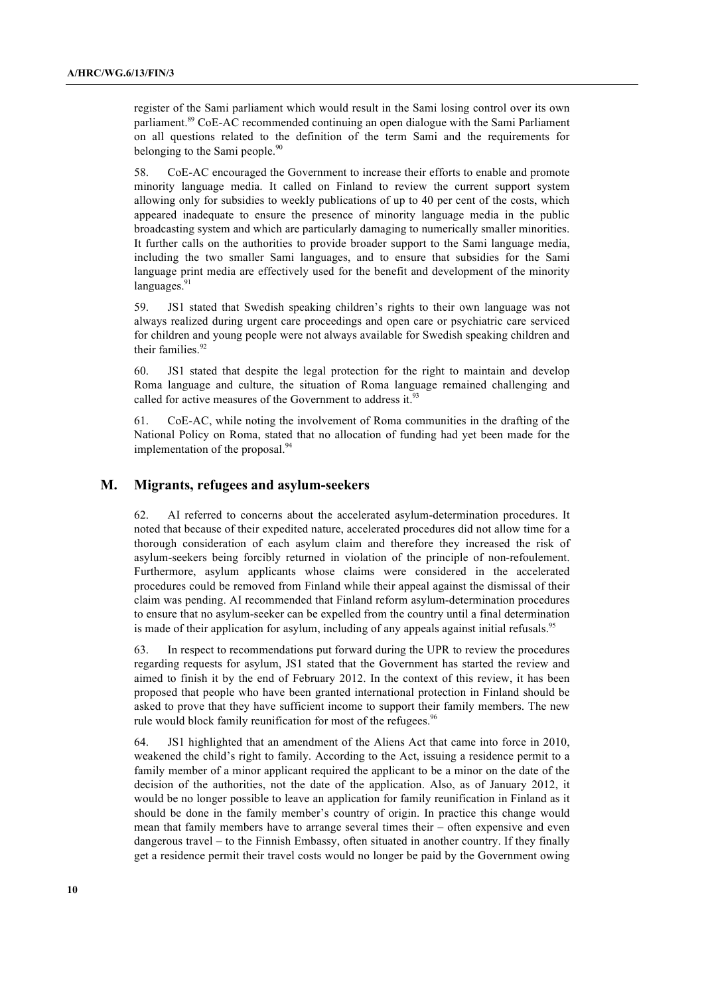register of the Sami parliament which would result in the Sami losing control over its own parliament.<sup>89</sup> CoE-AC recommended continuing an open dialogue with the Sami Parliament on all questions related to the definition of the term Sami and the requirements for belonging to the Sami people.<sup>90</sup>

58. CoE-AC encouraged the Government to increase their efforts to enable and promote minority language media. It called on Finland to review the current support system allowing only for subsidies to weekly publications of up to 40 per cent of the costs, which appeared inadequate to ensure the presence of minority language media in the public broadcasting system and which are particularly damaging to numerically smaller minorities. It further calls on the authorities to provide broader support to the Sami language media, including the two smaller Sami languages, and to ensure that subsidies for the Sami language print media are effectively used for the benefit and development of the minority languages.<sup>91</sup>

59. JS1 stated that Swedish speaking children's rights to their own language was not always realized during urgent care proceedings and open care or psychiatric care serviced for children and young people were not always available for Swedish speaking children and their families. 92

60. JS1 stated that despite the legal protection for the right to maintain and develop Roma language and culture, the situation of Roma language remained challenging and called for active measures of the Government to address it.<sup>93</sup>

61. CoE-AC, while noting the involvement of Roma communities in the drafting of the National Policy on Roma, stated that no allocation of funding had yet been made for the implementation of the proposal.<sup>94</sup>

## **M. Migrants, refugees and asylum-seekers**

62. AI referred to concerns about the accelerated asylum-determination procedures. It noted that because of their expedited nature, accelerated procedures did not allow time for a thorough consideration of each asylum claim and therefore they increased the risk of asylum-seekers being forcibly returned in violation of the principle of non-refoulement. Furthermore, asylum applicants whose claims were considered in the accelerated procedures could be removed from Finland while their appeal against the dismissal of their claim was pending. AI recommended that Finland reform asylum-determination procedures to ensure that no asylum-seeker can be expelled from the country until a final determination is made of their application for asylum, including of any appeals against initial refusals.<sup>95</sup>

63. In respect to recommendations put forward during the UPR to review the procedures regarding requests for asylum, JS1 stated that the Government has started the review and aimed to finish it by the end of February 2012. In the context of this review, it has been proposed that people who have been granted international protection in Finland should be asked to prove that they have sufficient income to support their family members. The new rule would block family reunification for most of the refugees.<sup>96</sup>

64. JS1 highlighted that an amendment of the Aliens Act that came into force in 2010, weakened the child's right to family. According to the Act, issuing a residence permit to a family member of a minor applicant required the applicant to be a minor on the date of the decision of the authorities, not the date of the application. Also, as of January 2012, it would be no longer possible to leave an application for family reunification in Finland as it should be done in the family member's country of origin. In practice this change would mean that family members have to arrange several times their – often expensive and even dangerous travel – to the Finnish Embassy, often situated in another country. If they finally get a residence permit their travel costs would no longer be paid by the Government owing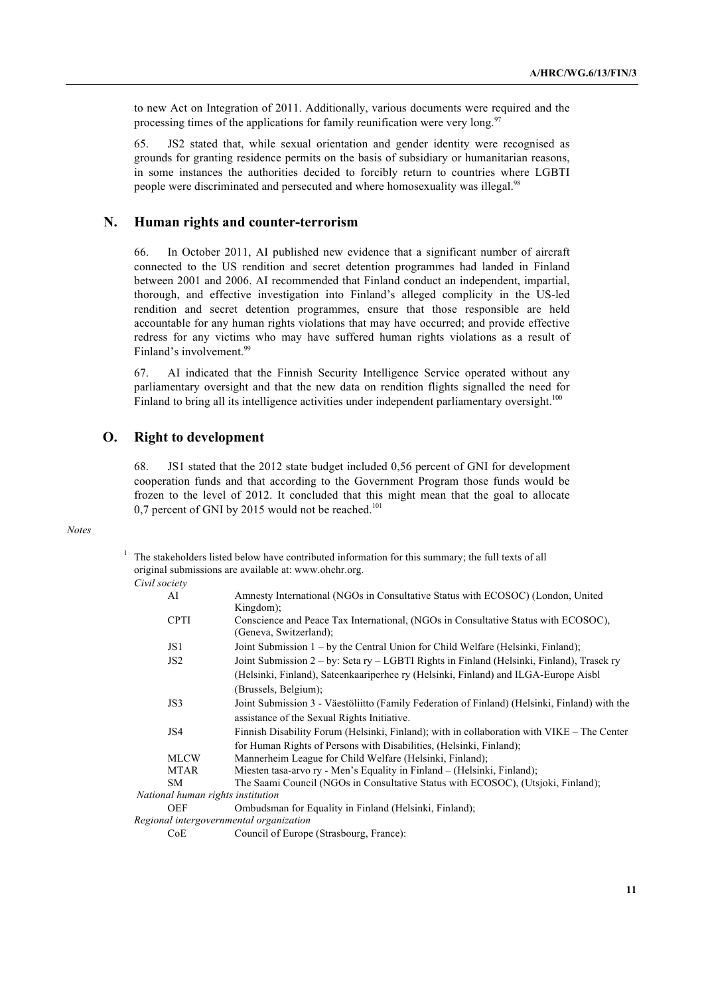to new Act on Integration of 2011. Additionally, various documents were required and the processing times of the applications for family reunification were very long.<sup>97</sup>

65. JS2 stated that, while sexual orientation and gender identity were recognised as grounds for granting residence permits on the basis of subsidiary or humanitarian reasons, in some instances the authorities decided to forcibly return to countries where LGBTI people were discriminated and persecuted and where homosexuality was illegal.<sup>98</sup>

#### **N. Human rights and counter-terrorism**

66. In October 2011, AI published new evidence that a significant number of aircraft connected to the US rendition and secret detention programmes had landed in Finland between 2001 and 2006. AI recommended that Finland conduct an independent, impartial, thorough, and effective investigation into Finland's alleged complicity in the US-led rendition and secret detention programmes, ensure that those responsible are held accountable for any human rights violations that may have occurred; and provide effective redress for any victims who may have suffered human rights violations as a result of Finland's involvement. 99

67. AI indicated that the Finnish Security Intelligence Service operated without any parliamentary oversight and that the new data on rendition flights signalled the need for Finland to bring all its intelligence activities under independent parliamentary oversight.<sup>100</sup>

## **O. Right to development**

68. JS1 stated that the 2012 state budget included 0,56 percent of GNI for development cooperation funds and that according to the Government Program those funds would be frozen to the level of 2012. It concluded that this might mean that the goal to allocate 0,7 percent of GNI by 2015 would not be reached.<sup>101</sup>

#### *Notes*

<sup>1</sup> The stakeholders listed below have contributed information for this summary; the full texts of all original submissions are available at: www.ohchr.org.  $Civil$ 

| Civit society                           |                                                                                               |
|-----------------------------------------|-----------------------------------------------------------------------------------------------|
| AI                                      | Amnesty International (NGOs in Consultative Status with ECOSOC) (London, United               |
|                                         | $Kingdom)$ :                                                                                  |
| <b>CPTI</b>                             | Conscience and Peace Tax International, (NGOs in Consultative Status with ECOSOC),            |
|                                         | (Geneva, Switzerland);                                                                        |
| JS1                                     | Joint Submission $1 - by$ the Central Union for Child Welfare (Helsinki, Finland);            |
| JS2                                     | Joint Submission 2 – by: Seta ry – LGBTI Rights in Finland (Helsinki, Finland), Trasek ry     |
|                                         | (Helsinki, Finland), Sateenkaariperhee ry (Helsinki, Finland) and ILGA-Europe Aisbl           |
|                                         | (Brussels, Belgium);                                                                          |
| JS3                                     | Joint Submission 3 - Väestöliitto (Family Federation of Finland) (Helsinki, Finland) with the |
|                                         | assistance of the Sexual Rights Initiative.                                                   |
| JS4                                     | Finnish Disability Forum (Helsinki, Finland); with in collaboration with VIKE – The Center    |
|                                         | for Human Rights of Persons with Disabilities, (Helsinki, Finland);                           |
| <b>MLCW</b>                             | Mannerheim League for Child Welfare (Helsinki, Finland);                                      |
| <b>MTAR</b>                             | Miesten tasa-arvo ry - Men's Equality in Finland – (Helsinki, Finland);                       |
| SM.                                     | The Saami Council (NGOs in Consultative Status with ECOSOC), (Utsjoki, Finland);              |
| National human rights institution       |                                                                                               |
| <b>OEF</b>                              | Ombudsman for Equality in Finland (Helsinki, Finland);                                        |
| Regional intergovernmental organization |                                                                                               |
| CoE                                     | Council of Europe (Strasbourg, France):                                                       |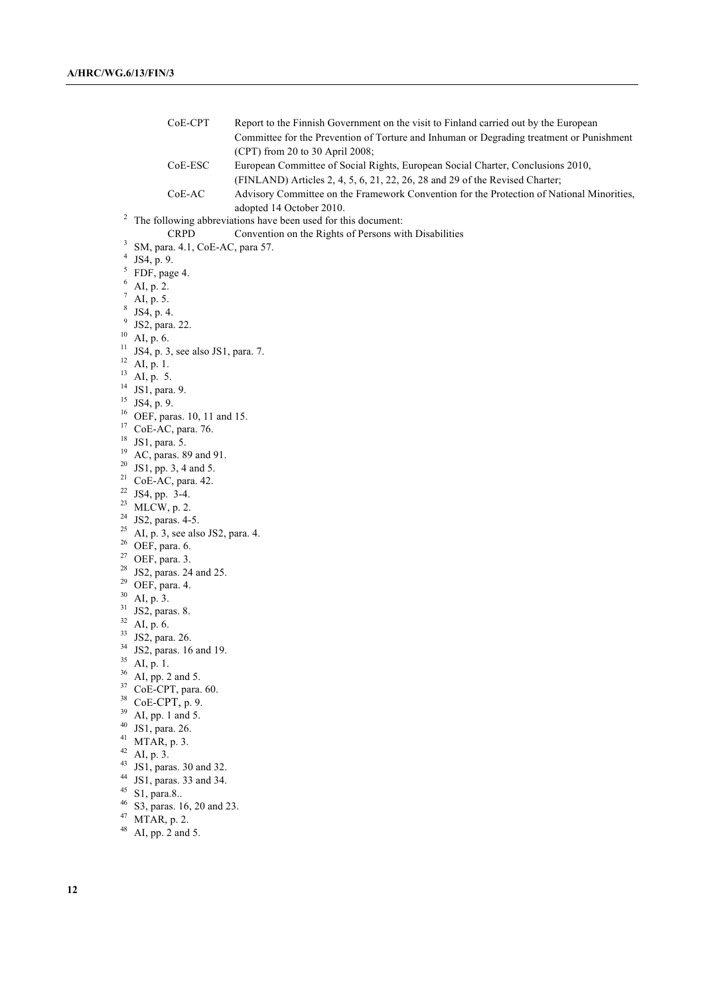CoE-CPT Report to the Finnish Government on the visit to Finland carried out by the European Committee for the Prevention of Torture and Inhuman or Degrading treatment or Punishment (CPT) from 20 to 30 April 2008; CoE-ESC European Committee of Social Rights, European Social Charter, Conclusions 2010, (FINLAND) Articles 2, 4, 5, 6, 21, 22, 26, 28 and 29 of the Revised Charter; CoE-AC Advisory Committee on the Framework Convention for the Protection of National Minorities, adopted 14 October 2010.<br><sup>2</sup> The following abbreviations have been used for this document: CRPD Convention on the Rights of Persons with Disabilities  $\frac{3}{4}$  SM, para. 4.1, CoE-AC, para 57. JS4, p. 9. <sup>5</sup> FDF, page 4. AI, p. 2.  $\frac{7}{8}$  AI, p. 5.<br>8 JS4, p. 4. <sup>9</sup> JS2, para. 22.  $10$  AI, p. 6. <sup>11</sup> JS4, p. 3, see also JS1, para. 7.  $12$  AI, p. 1.  $^{13}$  AI, p. 5. <sup>14</sup> JS1, para. 9.  $15$  JS4, p. 9. <sup>16</sup> OEF, paras. 10, 11 and 15. <sup>17</sup> CoE-AC, para. 76. <sup>18</sup> JS1, para. 5. <sup>19</sup> AC, paras. 89 and 91. <sup>20</sup> JS1, pp. 3, 4 and 5. <sup>21</sup> CoE-AC, para. 42.<br><sup>22</sup> JS4, pp. 3-4.  $23$  MLCW, p. 2. <sup>24</sup> JS2, paras. 4-5. <sup>25</sup> AI, p. 3, see also JS2, para. 4.<br><sup>26</sup> OEF, para. 6.  $27$  OEF, para. 3.<br><sup>28</sup> JS2, paras. 24 and 25.  $^{29}$  OEF, para. 4. AI, p. 3.  $31$  JS2, paras. 8. <sup>32</sup> AI, p. 6. <sup>33</sup> JS2, para. 26.  $34$  JS2, paras. 16 and 19.<br>  $35$  AI, p. 1.<br>  $36$  AI, pp. 2 and 5.  $37$  CoE-CPT, para. 60. <sup>38</sup> CoE-CPT, p. 9.  $39$  AI, pp. 1 and 5.  $40$  JS1, para. 26. <sup>41</sup> MTAR, p. 3.  $42$  AI, p. 3.  $43$  JS1, paras. 30 and 32. <sup>44</sup> JS1, paras. 33 and 34. <sup>45</sup> S1, para.8.. <sup>46</sup> S3, paras. 16, 20 and 23.  $^{47}$  MTAR, p. 2. AI, pp. 2 and 5.